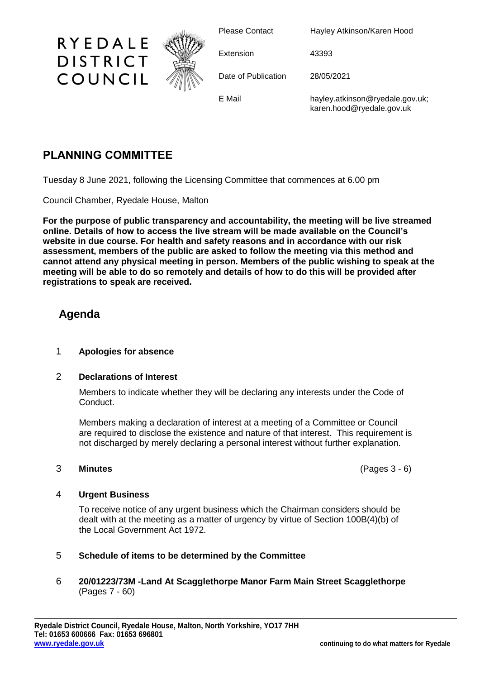

Please Contact Hayley Atkinson/Karen Hood

E Mail hayley.atkinson@ryedale.gov.uk; karen.hood@ryedale.gov.uk

# **PLANNING COMMITTEE**

Tuesday 8 June 2021, following the Licensing Committee that commences at 6.00 pm

Council Chamber, Ryedale House, Malton

**For the purpose of public transparency and accountability, the meeting will be live streamed online. Details of how to access the live stream will be made available on the Council's website in due course. For health and safety reasons and in accordance with our risk assessment, members of the public are asked to follow the meeting via this method and cannot attend any physical meeting in person. Members of the public wishing to speak at the meeting will be able to do so remotely and details of how to do this will be provided after registrations to speak are received.**

# **Agenda**

## 1 **Apologies for absence**

#### 2 **Declarations of Interest**

Members to indicate whether they will be declaring any interests under the Code of Conduct.

Members making a declaration of interest at a meeting of a Committee or Council are required to disclose the existence and nature of that interest. This requirement is not discharged by merely declaring a personal interest without further explanation.

#### 3 **Minutes** (Pages 3 - 6)

#### 4 **Urgent Business**

To receive notice of any urgent business which the Chairman considers should be dealt with at the meeting as a matter of urgency by virtue of Section 100B(4)(b) of the Local Government Act 1972.

## 5 **Schedule of items to be determined by the Committee**

6 **20/01223/73M -Land At Scagglethorpe Manor Farm Main Street Scagglethorpe** (Pages 7 - 60)